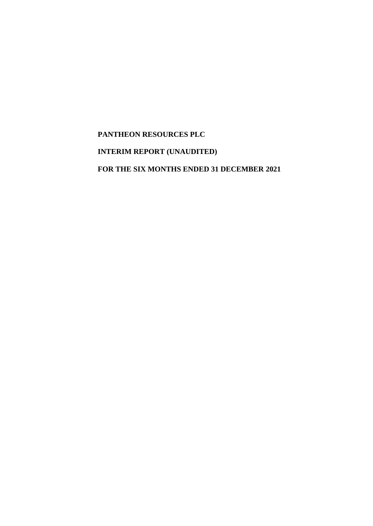# **PANTHEON RESOURCES PLC**

# **INTERIM REPORT (UNAUDITED)**

**FOR THE SIX MONTHS ENDED 31 DECEMBER 2021**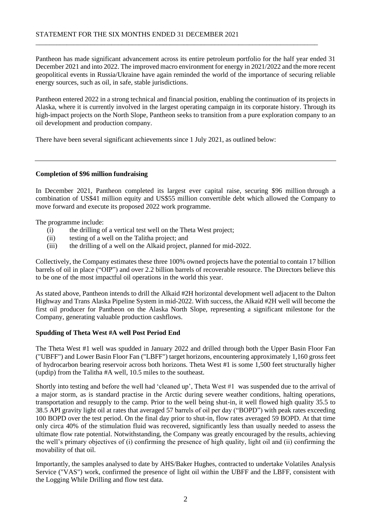Pantheon has made significant advancement across its entire petroleum portfolio for the half year ended 31 December 2021 and into 2022. The improved macro environment for energy in 2021/2022 and the more recent geopolitical events in Russia/Ukraine have again reminded the world of the importance of securing reliable energy sources, such as oil, in safe, stable jurisdictions.

\_\_\_\_\_\_\_\_\_\_\_\_\_\_\_\_\_\_\_\_\_\_\_\_\_\_\_\_\_\_\_\_\_\_\_\_\_\_\_\_\_\_\_\_\_\_\_\_\_\_\_\_\_\_\_\_\_\_\_\_\_\_\_\_\_\_\_\_\_\_\_\_\_\_\_\_\_\_\_\_\_\_

Pantheon entered 2022 in a strong technical and financial position, enabling the continuation of its projects in Alaska, where it is currently involved in the largest operating campaign in its corporate history. Through its high-impact projects on the North Slope, Pantheon seeks to transition from a pure exploration company to an oil development and production company.

There have been several significant achievements since 1 July 2021, as outlined below:

#### **Completion of \$96 million fundraising**

In December 2021, Pantheon completed its largest ever capital raise, securing \$96 million through a combination of US\$41 million equity and US\$55 million convertible debt which allowed the Company to move forward and execute its proposed 2022 work programme.

The programme include:

- (i) the drilling of a vertical test well on the Theta West project;
- (ii) testing of a well on the Talitha project; and
- (iii) the drilling of a well on the Alkaid project, planned for mid-2022.

Collectively, the Company estimates these three 100% owned projects have the potential to contain 17 billion barrels of oil in place ("OIP") and over 2.2 billion barrels of recoverable resource. The Directors believe this to be one of the most impactful oil operations in the world this year.

As stated above, Pantheon intends to drill the Alkaid #2H horizontal development well adjacent to the Dalton Highway and Trans Alaska Pipeline System in mid-2022. With success, the Alkaid #2H well will become the first oil producer for Pantheon on the Alaska North Slope, representing a significant milestone for the Company, generating valuable production cashflows.

#### **Spudding of Theta West #A well Post Period End**

The Theta West #1 well was spudded in January 2022 and drilled through both the Upper Basin Floor Fan ("UBFF") and Lower Basin Floor Fan ("LBFF") target horizons, encountering approximately 1,160 gross feet of hydrocarbon bearing reservoir across both horizons. Theta West #1 is some 1,500 feet structurally higher (updip) from the Talitha #A well, 10.5 miles to the southeast.

Shortly into testing and before the well had 'cleaned up', Theta West #1 was suspended due to the arrival of a major storm, as is standard practise in the Arctic during severe weather conditions, halting operations, transportation and resupply to the camp. Prior to the well being shut-in, it well flowed high quality 35.5 to 38.5 API gravity light oil at rates that averaged 57 barrels of oil per day ("BOPD") with peak rates exceeding 100 BOPD over the test period. On the final day prior to shut-in, flow rates averaged 59 BOPD. At that time only circa 40% of the stimulation fluid was recovered, significantly less than usually needed to assess the ultimate flow rate potential. Notwithstanding, the Company was greatly encouraged by the results, achieving the well's primary objectives of (i) confirming the presence of high quality, light oil and (ii) confirming the movability of that oil.

Importantly, the samples analysed to date by AHS/Baker Hughes, contracted to undertake Volatiles Analysis Service ("VAS") work, confirmed the presence of light oil within the UBFF and the LBFF, consistent with the Logging While Drilling and flow test data.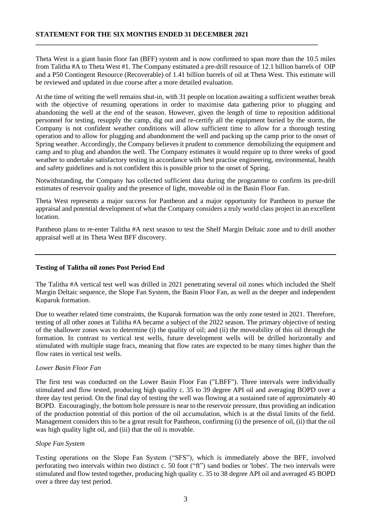Theta West is a giant basin floor fan (BFF) system and is now confirmed to span more than the 10.5 miles from Talitha #A to Theta West #1. The Company estimated a pre-drill resource of 12.1 billion barrels of OIP and a P50 Contingent Resource (Recoverable) of 1.41 billion barrels of oil at Theta West. This estimate will be reviewed and updated in due course after a more detailed evaluation.

**\_\_\_\_\_\_\_\_\_\_\_\_\_\_\_\_\_\_\_\_\_\_\_\_\_\_\_\_\_\_\_\_\_\_\_\_\_\_\_\_\_\_\_\_\_\_\_\_\_\_\_\_\_\_\_\_\_\_\_\_\_\_\_\_\_\_\_\_\_\_\_\_\_\_\_\_\_\_\_\_\_\_** 

At the time of writing the well remains shut-in, with 31 people on location awaiting a sufficient weather break with the objective of resuming operations in order to maximise data gathering prior to plugging and abandoning the well at the end of the season. However, given the length of time to reposition additional personnel for testing, resupply the camp, dig out and re-certify all the equipment buried by the storm, the Company is not confident weather conditions will allow sufficient time to allow for a thorough testing operation and to allow for plugging and abandonment the well and packing up the camp prior to the onset of Spring weather. Accordingly, the Company believes it prudent to commence demobilizing the equipment and camp and to plug and abandon the well. The Company estimates it would require up to three weeks of good weather to undertake satisfactory testing in accordance with best practise engineering, environmental, health and safety guidelines and is not confident this is possible prior to the onset of Spring.

Notwithstanding, the Company has collected sufficient data during the programme to confirm its pre-drill estimates of reservoir quality and the presence of light, moveable oil in the Basin Floor Fan.

Theta West represents a major success for Pantheon and a major opportunity for Pantheon to pursue the appraisal and potential development of what the Company considers a truly world class project in an excellent location.

Pantheon plans to re-enter Talitha #A next season to test the Shelf Margin Deltaic zone and to drill another appraisal well at its Theta West BFF discovery.

#### **Testing of Talitha oil zones Post Period End**

The Talitha #A vertical test well was drilled in 2021 penetrating several oil zones which included the Shelf Margin Deltaic sequence, the Slope Fan System, the Basin Floor Fan, as well as the deeper and independent Kuparuk formation.

Due to weather related time constraints, the Kuparuk formation was the only zone tested in 2021. Therefore, testing of all other zones at Talitha #A became a subject of the 2022 season. The primary objective of testing of the shallower zones was to determine (i) the quality of oil; and (ii) the moveability of this oil through the formation. In contrast to vertical test wells, future development wells will be drilled horizontally and stimulated with multiple stage fracs, meaning that flow rates are expected to be many times higher than the flow rates in vertical test wells.

#### *Lower Basin Floor Fan*

The first test was conducted on the Lower Basin Floor Fan ("LBFF"). Three intervals were individually stimulated and flow tested, producing high quality c. 35 to 39 degree API oil and averaging BOPD over a three day test period. On the final day of testing the well was flowing at a sustained rate of approximately 40 BOPD. Encouragingly, the bottom hole pressure is near to the reservoir pressure, thus providing an indication of the production potential of this portion of the oil accumulation, which is at the distal limits of the field. Management considers this to be a great result for Pantheon, confirming (i) the presence of oil, (ii) that the oil was high quality light oil, and (iii) that the oil is movable.

#### *Slope Fan System*

Testing operations on the Slope Fan System ("SFS"), which is immediately above the BFF, involved perforating two intervals within two distinct c. 50 foot ("ft") sand bodies or 'lobes'. The two intervals were stimulated and flow tested together, producing high quality c. 35 to 38 degree API oil and averaged 45 BOPD over a three day test period.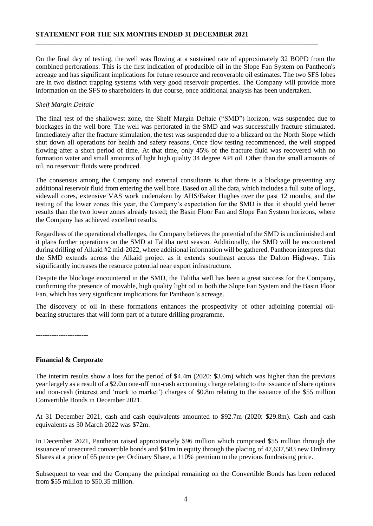On the final day of testing, the well was flowing at a sustained rate of approximately 32 BOPD from the combined perforations. This is the first indication of producible oil in the Slope Fan System on Pantheon's acreage and has significant implications for future resource and recoverable oil estimates. The two SFS lobes are in two distinct trapping systems with very good reservoir properties. The Company will provide more information on the SFS to shareholders in due course, once additional analysis has been undertaken.

**\_\_\_\_\_\_\_\_\_\_\_\_\_\_\_\_\_\_\_\_\_\_\_\_\_\_\_\_\_\_\_\_\_\_\_\_\_\_\_\_\_\_\_\_\_\_\_\_\_\_\_\_\_\_\_\_\_\_\_\_\_\_\_\_\_\_\_\_\_\_\_\_\_\_\_\_\_\_\_\_\_\_** 

### *Shelf Margin Deltaic*

The final test of the shallowest zone, the Shelf Margin Deltaic ("SMD") horizon, was suspended due to blockages in the well bore. The well was perforated in the SMD and was successfully fracture stimulated. Immediately after the fracture stimulation, the test was suspended due to a blizzard on the North Slope which shut down all operations for health and safety reasons. Once flow testing recommenced, the well stopped flowing after a short period of time. At that time, only 45% of the fracture fluid was recovered with no formation water and small amounts of light high quality 34 degree API oil. Other than the small amounts of oil, no reservoir fluids were produced.

The consensus among the Company and external consultants is that there is a blockage preventing any additional reservoir fluid from entering the well bore. Based on all the data, which includes a full suite of logs, sidewall cores, extensive VAS work undertaken by AHS/Baker Hughes over the past 12 months, and the testing of the lower zones this year, the Company's expectation for the SMD is that it should yield better results than the two lower zones already tested; the Basin Floor Fan and Slope Fan System horizons, where the Company has achieved excellent results.

Regardless of the operational challenges, the Company believes the potential of the SMD is undiminished and it plans further operations on the SMD at Talitha next season. Additionally, the SMD will be encountered during drilling of Alkaid #2 mid-2022, where additional information will be gathered. Pantheon interprets that the SMD extends across the Alkaid project as it extends southeast across the Dalton Highway. This significantly increases the resource potential near export infrastructure.

Despite the blockage encountered in the SMD, the Talitha well has been a great success for the Company, confirming the presence of movable, high quality light oil in both the Slope Fan System and the Basin Floor Fan, which has very significant implications for Pantheon's acreage.

The discovery of oil in these formations enhances the prospectivity of other adjoining potential oilbearing structures that will form part of a future drilling programme.

-----------------------

### **Financial & Corporate**

The interim results show a loss for the period of \$4.4m (2020: \$3.0m) which was higher than the previous year largely as a result of a \$2.0m one-off non-cash accounting charge relating to the issuance of share options and non-cash (interest and 'mark to market') charges of \$0.8m relating to the issuance of the \$55 million Convertible Bonds in December 2021.

At 31 December 2021, cash and cash equivalents amounted to \$92.7m (2020: \$29.8m). Cash and cash equivalents as 30 March 2022 was \$72m.

In December 2021, Pantheon raised approximately \$96 million which comprised \$55 million through the issuance of unsecured convertible bonds and \$41m in equity through the placing of 47,637,583 new Ordinary Shares at a price of 65 pence per Ordinary Share, a 110% premium to the previous fundraising price.

Subsequent to year end the Company the principal remaining on the Convertible Bonds has been reduced from \$55 million to \$50.35 million.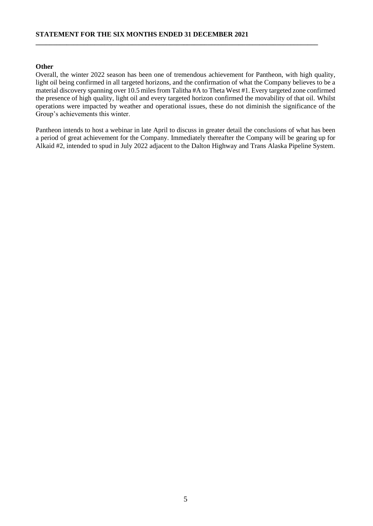# **Other**

Overall, the winter 2022 season has been one of tremendous achievement for Pantheon, with high quality, light oil being confirmed in all targeted horizons, and the confirmation of what the Company believes to be a material discovery spanning over 10.5 miles from Talitha #A to Theta West #1. Every targeted zone confirmed the presence of high quality, light oil and every targeted horizon confirmed the movability of that oil. Whilst operations were impacted by weather and operational issues, these do not diminish the significance of the Group's achievements this winter.

**\_\_\_\_\_\_\_\_\_\_\_\_\_\_\_\_\_\_\_\_\_\_\_\_\_\_\_\_\_\_\_\_\_\_\_\_\_\_\_\_\_\_\_\_\_\_\_\_\_\_\_\_\_\_\_\_\_\_\_\_\_\_\_\_\_\_\_\_\_\_\_\_\_\_\_\_\_\_\_\_\_\_** 

Pantheon intends to host a webinar in late April to discuss in greater detail the conclusions of what has been a period of great achievement for the Company. Immediately thereafter the Company will be gearing up for Alkaid #2, intended to spud in July 2022 adjacent to the Dalton Highway and Trans Alaska Pipeline System.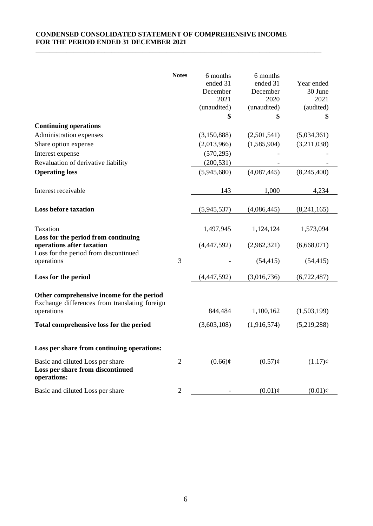# **CONDENSED CONSOLIDATED STATEMENT OF COMPREHENSIVE INCOME** FOR THE PERIOD ENDED 31 DECEMBER 2021

|                                                                                                           | <b>Notes</b>   | 6 months<br>ended 31<br>December<br>2021<br>(unaudited)<br>\$ | 6 months<br>ended 31<br>December<br>2020<br>(unaudited)<br>\$ | Year ended<br>30 June<br>2021<br>(audited)<br>\$ |
|-----------------------------------------------------------------------------------------------------------|----------------|---------------------------------------------------------------|---------------------------------------------------------------|--------------------------------------------------|
| <b>Continuing operations</b>                                                                              |                |                                                               |                                                               |                                                  |
| Administration expenses                                                                                   |                | (3,150,888)                                                   | (2,501,541)                                                   | (5,034,361)                                      |
| Share option expense                                                                                      |                | (2,013,966)                                                   | (1,585,904)                                                   | (3,211,038)                                      |
| Interest expense                                                                                          |                | (570, 295)                                                    |                                                               |                                                  |
| Revaluation of derivative liability                                                                       |                | (200, 531)                                                    |                                                               |                                                  |
| <b>Operating loss</b>                                                                                     |                | (5,945,680)                                                   | (4,087,445)                                                   | (8,245,400)                                      |
| Interest receivable                                                                                       |                | 143                                                           | 1,000                                                         | 4,234                                            |
| <b>Loss before taxation</b>                                                                               |                | (5,945,537)                                                   | (4,086,445)                                                   | (8,241,165)                                      |
| Taxation                                                                                                  |                | 1,497,945                                                     | 1,124,124                                                     | 1,573,094                                        |
| Loss for the period from continuing<br>operations after taxation<br>Loss for the period from discontinued |                | (4,447,592)                                                   | (2,962,321)                                                   | (6,668,071)                                      |
| operations                                                                                                | 3              |                                                               | (54, 415)                                                     | (54, 415)                                        |
| Loss for the period                                                                                       |                | (4,447,592)                                                   | (3,016,736)                                                   | (6,722,487)                                      |
| Other comprehensive income for the period<br>Exchange differences from translating foreign                |                |                                                               |                                                               |                                                  |
| operations                                                                                                |                | 844,484                                                       | 1,100,162                                                     | (1,503,199)                                      |
| Total comprehensive loss for the period                                                                   |                | (3,603,108)                                                   | (1,916,574)                                                   | (5,219,288)                                      |
| Loss per share from continuing operations:                                                                |                |                                                               |                                                               |                                                  |
| Basic and diluted Loss per share<br>Loss per share from discontinued<br>operations:                       | $\overline{2}$ | $(0.66)$ ¢                                                    | $(0.57)$ ¢                                                    | $(1.17)$ ¢                                       |
| Basic and diluted Loss per share                                                                          | $\overline{2}$ |                                                               | $(0.01)$ ¢                                                    | $(0.01)$ ¢                                       |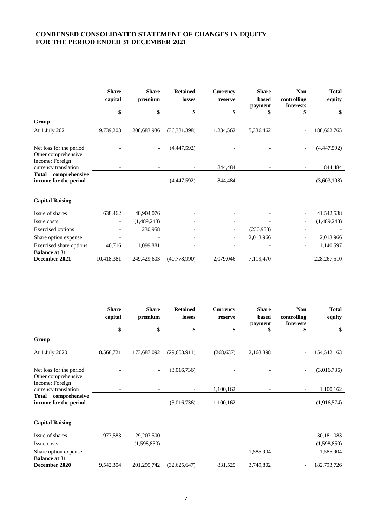### **CONDENSED CONSOLIDATED STATEMENT OF CHANGES IN EQUITY FOR THE PERIOD ENDED 31 DECEMBER 2021**

|                                                                   | <b>Share</b><br>capital | <b>Share</b><br>premium | <b>Retained</b><br>losses | <b>Currency</b><br>reserve | <b>Share</b><br>based<br>payment | <b>Non</b><br>controlling<br><b>Interests</b> | <b>Total</b><br>equity |
|-------------------------------------------------------------------|-------------------------|-------------------------|---------------------------|----------------------------|----------------------------------|-----------------------------------------------|------------------------|
|                                                                   | \$                      | \$                      | \$                        | \$                         | \$                               | \$                                            | \$                     |
| Group                                                             |                         |                         |                           |                            |                                  |                                               |                        |
| At 1 July 2021                                                    | 9,739,203               | 208,683,936             | (36, 331, 398)            | 1,234,562                  | 5,336,462                        |                                               | 188,662,765            |
| Net loss for the period<br>Other comprehensive<br>income: Foreign |                         |                         | (4,447,592)               |                            |                                  |                                               | (4,447,592)            |
| currency translation                                              |                         |                         |                           | 844,484                    |                                  |                                               | 844,484                |
| Total comprehensive<br>income for the period                      |                         |                         | (4,447,592)               | 844,484                    |                                  |                                               | (3,603,108)            |
| <b>Capital Raising</b>                                            |                         |                         |                           |                            |                                  |                                               |                        |
| Issue of shares                                                   | 638,462                 | 40,904,076              |                           |                            |                                  |                                               | 41,542,538             |
| Issue costs                                                       |                         | (1,489,248)             |                           |                            |                                  |                                               | (1,489,248)            |
| <b>Exercised</b> options                                          |                         | 230,958                 |                           |                            | (230,958)                        |                                               |                        |
| Share option expense                                              |                         |                         |                           | $\overline{\phantom{0}}$   | 2,013,966                        |                                               | 2,013,966              |
| Exercised share options                                           | 40,716                  | 1,099,881               |                           |                            |                                  |                                               | 1,140,597              |
| <b>Balance at 31</b><br>December 2021                             | 10,418,381              | 249,429,603             | (40,778,990)              | 2,079,046                  | 7,119,470                        |                                               | 228, 267, 510          |

|                                                                   | <b>Share</b><br>capital  | <b>Share</b><br>premium | <b>Retained</b><br>losses | <b>Currency</b><br>reserve | <b>Share</b><br>based<br>payment | <b>Non</b><br>controlling<br><b>Interests</b> | <b>Total</b><br>equity |
|-------------------------------------------------------------------|--------------------------|-------------------------|---------------------------|----------------------------|----------------------------------|-----------------------------------------------|------------------------|
|                                                                   | \$                       | \$                      | \$                        | \$                         | \$                               | \$                                            | \$                     |
| Group                                                             |                          |                         |                           |                            |                                  |                                               |                        |
| At 1 July 2020                                                    | 8,568,721                | 173,687,092             | (29,608,911)              | (268, 637)                 | 2,163,898                        |                                               | 154, 542, 163          |
| Net loss for the period<br>Other comprehensive<br>income: Foreign |                          |                         | (3,016,736)               |                            |                                  |                                               | (3,016,736)            |
| currency translation                                              |                          |                         |                           | 1,100,162                  |                                  |                                               | 1,100,162              |
| comprehensive<br>Total<br>income for the period                   |                          |                         | (3,016,736)               | 1,100,162                  |                                  |                                               | (1,916,574)            |
| <b>Capital Raising</b>                                            |                          |                         |                           |                            |                                  |                                               |                        |
| Issue of shares                                                   | 973,583                  | 29,207,500              |                           |                            |                                  |                                               | 30,181,083             |
| Issue costs                                                       | $\overline{\phantom{a}}$ | (1,598,850)             |                           |                            |                                  |                                               | (1,598,850)            |
| Share option expense                                              |                          |                         |                           |                            | 1,585,904                        |                                               | 1,585,904              |
| <b>Balance at 31</b><br>December 2020                             | 9,542,304                | 201, 295, 742           | (32,625,647)              | 831,525                    | 3,749,802                        |                                               | 182,793,726            |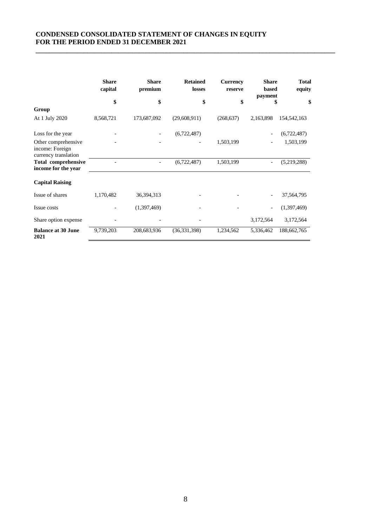### **CONDENSED CONSOLIDATED STATEMENT OF CHANGES IN EQUITY FOR THE PERIOD ENDED 31 DECEMBER 2021**

|                                                                | <b>Share</b><br>capital | <b>Share</b><br>premium | <b>Retained</b><br>losses | <b>Currency</b><br>reserve | <b>Share</b><br>based | <b>Total</b><br>equity |
|----------------------------------------------------------------|-------------------------|-------------------------|---------------------------|----------------------------|-----------------------|------------------------|
|                                                                | \$                      | \$                      | \$                        | \$                         | payment<br>\$         |                        |
| Group                                                          |                         |                         |                           |                            |                       | \$                     |
| At 1 July 2020                                                 | 8,568,721               | 173,687,092             | (29, 608, 911)            | (268, 637)                 | 2,163,898             | 154, 542, 163          |
| Loss for the year                                              |                         |                         | (6,722,487)               |                            |                       | (6,722,487)            |
| Other comprehensive<br>income: Foreign<br>currency translation |                         |                         |                           | 1,503,199                  |                       | 1,503,199              |
| <b>Total comprehensive</b><br>income for the year              |                         |                         | (6,722,487)               | 1,503,199                  |                       | (5,219,288)            |
| <b>Capital Raising</b>                                         |                         |                         |                           |                            |                       |                        |
| Issue of shares                                                | 1,170,482               | 36,394,313              |                           |                            |                       | 37,564,795             |
| Issue costs                                                    |                         | (1,397,469)             |                           |                            |                       | (1,397,469)            |
| Share option expense                                           |                         |                         |                           |                            | 3,172,564             | 3,172,564              |
| <b>Balance at 30 June</b><br>2021                              | 9,739,203               | 208,683,936             | (36, 331, 398)            | 1,234,562                  | 5,336,462             | 188,662,765            |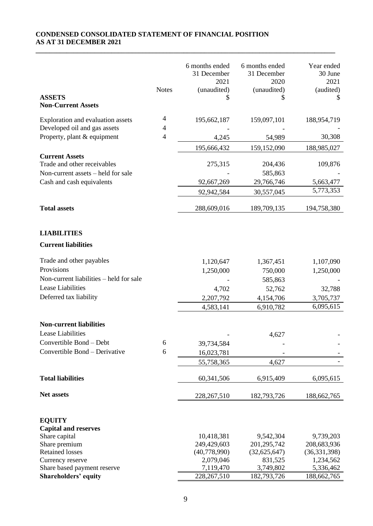# **CONDENSED CONSOLIDATED STATEMENT OF FINANCIAL POSITION AS AT 31 DECEMBER 2021**

|                                                                                            | <b>Notes</b>   | 6 months ended<br>31 December<br>2021<br>(unaudited) | 6 months ended<br>31 December<br>2020<br>(unaudited) | Year ended<br>30 June<br>2021<br>(audited) |
|--------------------------------------------------------------------------------------------|----------------|------------------------------------------------------|------------------------------------------------------|--------------------------------------------|
| <b>ASSETS</b><br><b>Non-Current Assets</b>                                                 |                | \$                                                   | S                                                    | S                                          |
| Exploration and evaluation assets                                                          | 4              | 195,662,187                                          | 159,097,101                                          | 188,954,719                                |
| Developed oil and gas assets                                                               | 4              |                                                      |                                                      |                                            |
| Property, plant & equipment                                                                | $\overline{4}$ | 4,245                                                | 54,989                                               | 30,308                                     |
|                                                                                            |                | 195,666,432                                          | 159,152,090                                          | 188,985,027                                |
| <b>Current Assets</b><br>Trade and other receivables<br>Non-current assets – held for sale |                | 275,315                                              | 204,436<br>585,863                                   | 109,876                                    |
| Cash and cash equivalents                                                                  |                | 92,667,269                                           | 29,766,746                                           | 5,663,477                                  |
|                                                                                            |                | 92,942,584                                           | 30,557,045                                           | 5,773,353                                  |
| <b>Total assets</b>                                                                        |                | 288,609,016                                          | 189,709,135                                          | 194,758,380                                |
| <b>LIABILITIES</b>                                                                         |                |                                                      |                                                      |                                            |
| <b>Current liabilities</b>                                                                 |                |                                                      |                                                      |                                            |
| Trade and other payables                                                                   |                | 1,120,647                                            | 1,367,451                                            | 1,107,090                                  |
| Provisions                                                                                 |                | 1,250,000                                            | 750,000                                              | 1,250,000                                  |
| Non-current liabilities – held for sale                                                    |                |                                                      | 585,863                                              |                                            |
| Lease Liabilities                                                                          |                | 4,702                                                | 52,762                                               | 32,788                                     |
| Deferred tax liability                                                                     |                | 2,207,792                                            | 4,154,706                                            | 3,705,737                                  |
|                                                                                            |                | 4,583,141                                            | 6,910,782                                            | 6,095,615                                  |
| <b>Non-current liabilities</b>                                                             |                |                                                      |                                                      |                                            |
| <b>Lease Liabilities</b>                                                                   |                |                                                      | 4,627                                                |                                            |
| Convertible Bond - Debt                                                                    | 6              | 39,734,584                                           |                                                      |                                            |
| Convertible Bond - Derivative                                                              | 6              |                                                      |                                                      |                                            |
|                                                                                            |                | 16,023,781<br>55,758,365                             | 4,627                                                |                                            |
|                                                                                            |                |                                                      |                                                      |                                            |
| <b>Total liabilities</b>                                                                   |                | 60, 341, 506                                         | 6,915,409                                            | 6,095,615                                  |
| Net assets                                                                                 |                | 228, 267, 510                                        | 182,793,726                                          | 188,662,765                                |
| <b>EQUITY</b>                                                                              |                |                                                      |                                                      |                                            |
| <b>Capital and reserves</b>                                                                |                |                                                      |                                                      |                                            |
| Share capital                                                                              |                | 10,418,381                                           | 9,542,304                                            | 9,739,203                                  |
| Share premium                                                                              |                | 249,429,603                                          | 201,295,742                                          | 208,683,936                                |
| <b>Retained losses</b>                                                                     |                | (40,778,990)                                         | (32, 625, 647)                                       | (36, 331, 398)                             |
| Currency reserve                                                                           |                | 2,079,046<br>7,119,470                               | 831,525<br>3,749,802                                 | 1,234,562                                  |
| Share based payment reserve<br><b>Shareholders' equity</b>                                 |                | 228, 267, 510                                        | 182,793,726                                          | 5,336,462<br>188,662,765                   |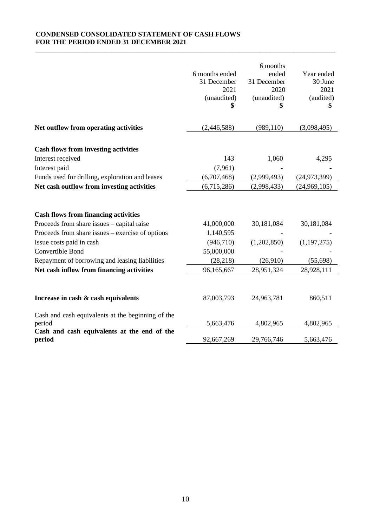# **CONDENSED CONSOLIDATED STATEMENT OF CASH FLOWS FOR THE PERIOD ENDED 31 DECEMBER 2021**

|                                                                                                                                                                                                                                                                                              | 6 months ended<br>31 December<br>2021<br>(unaudited)                           | 6 months<br>ended<br>31 December<br>2020<br>(unaudited) | Year ended<br>30 June<br>2021<br>(audited)             |
|----------------------------------------------------------------------------------------------------------------------------------------------------------------------------------------------------------------------------------------------------------------------------------------------|--------------------------------------------------------------------------------|---------------------------------------------------------|--------------------------------------------------------|
| Net outflow from operating activities                                                                                                                                                                                                                                                        | (2,446,588)                                                                    | (989, 110)                                              | (3,098,495)                                            |
| <b>Cash flows from investing activities</b>                                                                                                                                                                                                                                                  |                                                                                |                                                         |                                                        |
| Interest received                                                                                                                                                                                                                                                                            | 143                                                                            | 1,060                                                   | 4,295                                                  |
| Interest paid                                                                                                                                                                                                                                                                                | (7,961)                                                                        |                                                         |                                                        |
| Funds used for drilling, exploration and leases                                                                                                                                                                                                                                              | (6,707,468)                                                                    | (2,999,493)                                             | (24, 973, 399)                                         |
| Net cash outflow from investing activities                                                                                                                                                                                                                                                   | (6,715,286)                                                                    | (2,998,433)                                             | (24,969,105)                                           |
| <b>Cash flows from financing activities</b><br>Proceeds from share issues – capital raise<br>Proceeds from share issues – exercise of options<br>Issue costs paid in cash<br>Convertible Bond<br>Repayment of borrowing and leasing liabilities<br>Net cash inflow from financing activities | 41,000,000<br>1,140,595<br>(946, 710)<br>55,000,000<br>(28, 218)<br>96,165,667 | 30,181,084<br>(1,202,850)<br>(26,910)<br>28,951,324     | 30,181,084<br>(1, 197, 275)<br>(55, 698)<br>28,928,111 |
| Increase in cash & cash equivalents<br>Cash and cash equivalents at the beginning of the                                                                                                                                                                                                     | 87,003,793                                                                     | 24,963,781                                              | 860,511                                                |
| period                                                                                                                                                                                                                                                                                       | 5,663,476                                                                      | 4,802,965                                               | 4,802,965                                              |
| Cash and cash equivalents at the end of the<br>period                                                                                                                                                                                                                                        | 92,667,269                                                                     | 29,766,746                                              | 5,663,476                                              |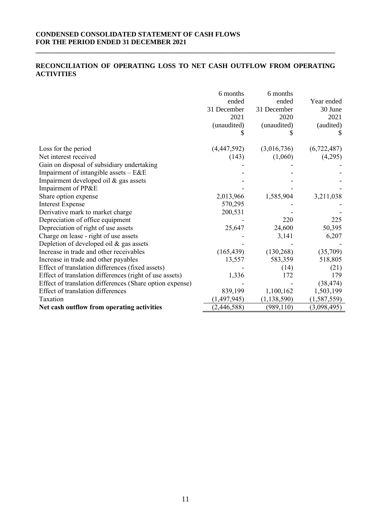# **CONDENSED CONSOLIDATED STATEMENT OF CASH FLOWS FOR THE PERIOD ENDED 31 DECEMBER 2021**

# **RECONCILIATION OF OPERATING LOSS TO NET CASH OUTFLOW FROM OPERATING ACTIVITIES**

|                                                          | 6 months<br>ended<br>31 December<br>2021<br>(unaudited) | 6 months<br>ended<br>31 December<br>2020<br>(unaudited) | Year ended<br>30 June<br>2021<br>(audited) |
|----------------------------------------------------------|---------------------------------------------------------|---------------------------------------------------------|--------------------------------------------|
| Loss for the period                                      | (4,447,592)                                             | (3,016,736)                                             | (6,722,487)                                |
| Net interest received                                    | (143)                                                   | (1,060)                                                 | (4,295)                                    |
| Gain on disposal of subsidiary undertaking               |                                                         |                                                         |                                            |
| Impairment of intangible assets - E&E                    |                                                         |                                                         |                                            |
| Impairment developed oil & gas assets                    |                                                         |                                                         |                                            |
| Impairment of PP&E                                       |                                                         |                                                         |                                            |
| Share option expense                                     | 2,013,966                                               | 1,585,904                                               | 3,211,038                                  |
| <b>Interest Expense</b>                                  | 570,295                                                 |                                                         |                                            |
| Derivative mark to market charge                         | 200,531                                                 |                                                         |                                            |
| Depreciation of office equipment                         |                                                         | 220                                                     | 225                                        |
| Depreciation of right of use assets                      | 25,647                                                  | 24,600                                                  | 50,395                                     |
| Charge on lease - right of use assets                    |                                                         | 3,141                                                   | 6,207                                      |
| Depletion of developed oil & gas assets                  |                                                         |                                                         |                                            |
| Increase in trade and other receivables                  | (165, 439)                                              | (130, 268)                                              | (35,709)                                   |
| Increase in trade and other payables                     | 13,557                                                  | 583,359                                                 | 518,805                                    |
| Effect of translation differences (fixed assets)         |                                                         | (14)                                                    | (21)                                       |
| Effect of translation differences (right of use assets)  | 1,336                                                   | 172                                                     | 179                                        |
| Effect of translation differences (Share option expense) |                                                         |                                                         | (38, 474)                                  |
| Effect of translation differences                        | 839,199                                                 | 1,100,162                                               | 1,503,199                                  |
| Taxation                                                 | (1,497,945)                                             | (1, 138, 590)                                           | (1, 587, 559)                              |
| Net cash outflow from operating activities               | (2, 446, 588)                                           | (989, 110)                                              | (3,098,495)                                |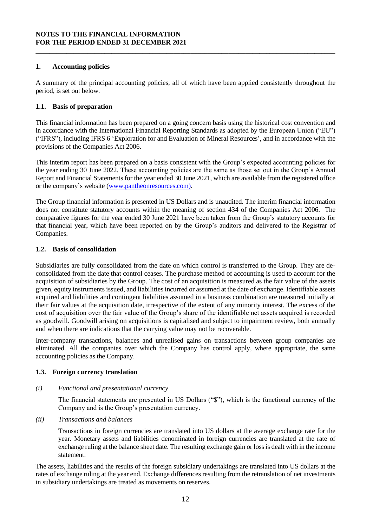# **1. Accounting policies**

A summary of the principal accounting policies, all of which have been applied consistently throughout the period, is set out below.

**\_\_\_\_\_\_\_\_\_\_\_\_\_\_\_\_\_\_\_\_\_\_\_\_\_\_\_\_\_\_\_\_\_\_\_\_\_\_\_\_\_\_\_\_\_\_\_\_\_\_\_\_\_\_\_\_\_\_\_\_\_\_\_\_\_\_\_\_\_\_\_\_\_\_\_\_\_\_\_\_\_\_\_\_\_\_\_**

#### **1.1. Basis of preparation**

This financial information has been prepared on a going concern basis using the historical cost convention and in accordance with the International Financial Reporting Standards as adopted by the European Union ("EU") ("IFRS"), including IFRS 6 'Exploration for and Evaluation of Mineral Resources', and in accordance with the provisions of the Companies Act 2006.

This interim report has been prepared on a basis consistent with the Group's expected accounting policies for the year ending 30 June 2022. These accounting policies are the same as those set out in the Group's Annual Report and Financial Statements for the year ended 30 June 2021, which are available from the registered office or the company's website [\(www.pantheonresources.com\).](http://www.pantheonresources.com)/)

The Group financial information is presented in US Dollars and is unaudited. The interim financial information does not constitute statutory accounts within the meaning of section 434 of the Companies Act 2006. The comparative figures for the year ended 30 June 2021 have been taken from the Group's statutory accounts for that financial year, which have been reported on by the Group's auditors and delivered to the Registrar of Companies.

#### **1.2. Basis of consolidation**

Subsidiaries are fully consolidated from the date on which control is transferred to the Group. They are deconsolidated from the date that control ceases. The purchase method of accounting is used to account for the acquisition of subsidiaries by the Group. The cost of an acquisition is measured as the fair value of the assets given, equity instruments issued, and liabilities incurred or assumed at the date of exchange. Identifiable assets acquired and liabilities and contingent liabilities assumed in a business combination are measured initially at their fair values at the acquisition date, irrespective of the extent of any minority interest. The excess of the cost of acquisition over the fair value of the Group's share of the identifiable net assets acquired is recorded as goodwill. Goodwill arising on acquisitions is capitalised and subject to impairment review, both annually and when there are indications that the carrying value may not be recoverable.

Inter-company transactions, balances and unrealised gains on transactions between group companies are eliminated. All the companies over which the Company has control apply, where appropriate, the same accounting policies as the Company.

# **1.3. Foreign currency translation**

#### *(i) Functional and presentational currency*

The financial statements are presented in US Dollars ("\$"), which is the functional currency of the Company and is the Group's presentation currency.

*(ii) Transactions and balances*

Transactions in foreign currencies are translated into US dollars at the average exchange rate for the year. Monetary assets and liabilities denominated in foreign currencies are translated at the rate of exchange ruling at the balance sheet date. The resulting exchange gain or loss is dealt with in the income statement.

The assets, liabilities and the results of the foreign subsidiary undertakings are translated into US dollars at the rates of exchange ruling at the year end. Exchange differences resulting from the retranslation of net investments in subsidiary undertakings are treated as movements on reserves.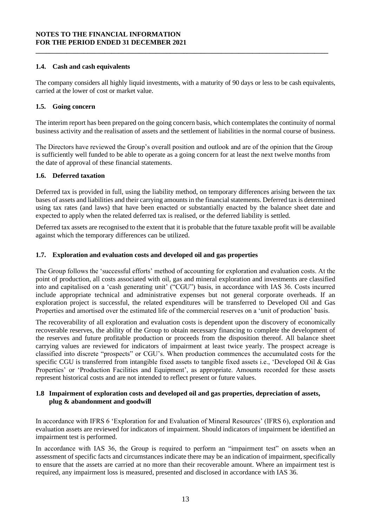# **1.4. Cash and cash equivalents**

The company considers all highly liquid investments, with a maturity of 90 days or less to be cash equivalents, carried at the lower of cost or market value.

**\_\_\_\_\_\_\_\_\_\_\_\_\_\_\_\_\_\_\_\_\_\_\_\_\_\_\_\_\_\_\_\_\_\_\_\_\_\_\_\_\_\_\_\_\_\_\_\_\_\_\_\_\_\_\_\_\_\_\_\_\_\_\_\_\_\_\_\_\_\_\_\_\_\_\_\_\_\_\_\_\_\_\_\_\_**

# **1.5. Going concern**

The interim report has been prepared on the going concern basis, which contemplates the continuity of normal business activity and the realisation of assets and the settlement of liabilities in the normal course of business.

The Directors have reviewed the Group's overall position and outlook and are of the opinion that the Group is sufficiently well funded to be able to operate as a going concern for at least the next twelve months from the date of approval of these financial statements.

# **1.6. Deferred taxation**

Deferred tax is provided in full, using the liability method, on temporary differences arising between the tax bases of assets and liabilities and their carrying amounts in the financial statements. Deferred tax is determined using tax rates (and laws) that have been enacted or substantially enacted by the balance sheet date and expected to apply when the related deferred tax is realised, or the deferred liability is settled.

Deferred tax assets are recognised to the extent that it is probable that the future taxable profit will be available against which the temporary differences can be utilized.

# **1.7. Exploration and evaluation costs and developed oil and gas properties**

The Group follows the 'successful efforts' method of accounting for exploration and evaluation costs. At the point of production, all costs associated with oil, gas and mineral exploration and investments are classified into and capitalised on a 'cash generating unit' ("CGU") basis, in accordance with IAS 36. Costs incurred include appropriate technical and administrative expenses but not general corporate overheads. If an exploration project is successful, the related expenditures will be transferred to Developed Oil and Gas Properties and amortised over the estimated life of the commercial reserves on a 'unit of production' basis.

The recoverability of all exploration and evaluation costs is dependent upon the discovery of economically recoverable reserves, the ability of the Group to obtain necessary financing to complete the development of the reserves and future profitable production or proceeds from the disposition thereof. All balance sheet carrying values are reviewed for indicators of impairment at least twice yearly. The prospect acreage is classified into discrete "prospects" or CGU's. When production commences the accumulated costs for the specific CGU is transferred from intangible fixed assets to tangible fixed assets i.e., 'Developed Oil & Gas Properties' or 'Production Facilities and Equipment', as appropriate. Amounts recorded for these assets represent historical costs and are not intended to reflect present or future values.

# **1.8 Impairment of exploration costs and developed oil and gas properties, depreciation of assets, plug & abandonment and goodwill**

In accordance with IFRS 6 'Exploration for and Evaluation of Mineral Resources' (IFRS 6), exploration and evaluation assets are reviewed for indicators of impairment. Should indicators of impairment be identified an impairment test is performed.

In accordance with IAS 36, the Group is required to perform an "impairment test" on assets when an assessment of specific facts and circumstances indicate there may be an indication of impairment, specifically to ensure that the assets are carried at no more than their recoverable amount. Where an impairment test is required, any impairment loss is measured, presented and disclosed in accordance with IAS 36.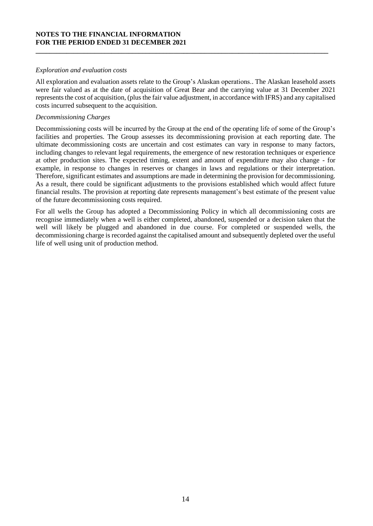#### *Exploration and evaluation costs*

All exploration and evaluation assets relate to the Group's Alaskan operations.. The Alaskan leasehold assets were fair valued as at the date of acquisition of Great Bear and the carrying value at 31 December 2021 represents the cost of acquisition, (plus the fair value adjustment, in accordance with IFRS) and any capitalised costs incurred subsequent to the acquisition.

**\_\_\_\_\_\_\_\_\_\_\_\_\_\_\_\_\_\_\_\_\_\_\_\_\_\_\_\_\_\_\_\_\_\_\_\_\_\_\_\_\_\_\_\_\_\_\_\_\_\_\_\_\_\_\_\_\_\_\_\_\_\_\_\_\_\_\_\_\_\_\_\_\_\_\_\_\_\_\_\_\_\_\_\_\_**

### *Decommissioning Charges*

Decommissioning costs will be incurred by the Group at the end of the operating life of some of the Group's facilities and properties. The Group assesses its decommissioning provision at each reporting date. The ultimate decommissioning costs are uncertain and cost estimates can vary in response to many factors, including changes to relevant legal requirements, the emergence of new restoration techniques or experience at other production sites. The expected timing, extent and amount of expenditure may also change - for example, in response to changes in reserves or changes in laws and regulations or their interpretation. Therefore, significant estimates and assumptions are made in determining the provision for decommissioning. As a result, there could be significant adjustments to the provisions established which would affect future financial results. The provision at reporting date represents management's best estimate of the present value of the future decommissioning costs required.

For all wells the Group has adopted a Decommissioning Policy in which all decommissioning costs are recognise immediately when a well is either completed, abandoned, suspended or a decision taken that the well will likely be plugged and abandoned in due course. For completed or suspended wells, the decommissioning charge is recorded against the capitalised amount and subsequently depleted over the useful life of well using unit of production method.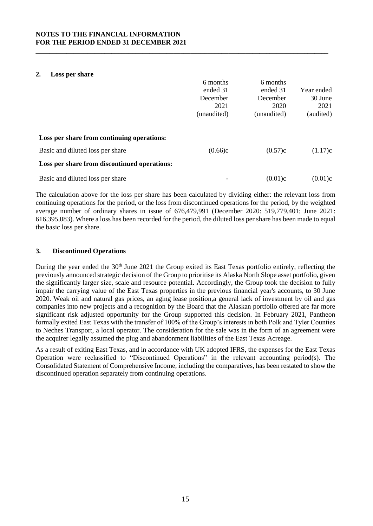#### **2. Loss per share**

|                                              | 6 months    | 6 months    |            |
|----------------------------------------------|-------------|-------------|------------|
|                                              | ended 31    | ended 31    | Year ended |
|                                              | December    | December    | 30 June    |
|                                              | 2021        | 2020        | 2021       |
|                                              | (unaudited) | (unaudited) | (audited)  |
| Loss per share from continuing operations:   |             |             |            |
|                                              |             |             |            |
| Basic and diluted loss per share             | (0.66)c     | (0.57)c     | (1.17)c    |
| Loss per share from discontinued operations: |             |             |            |
| Basic and diluted loss per share             |             | (0.01)c     | (0.01)c    |

**\_\_\_\_\_\_\_\_\_\_\_\_\_\_\_\_\_\_\_\_\_\_\_\_\_\_\_\_\_\_\_\_\_\_\_\_\_\_\_\_\_\_\_\_\_\_\_\_\_\_\_\_\_\_\_\_\_\_\_\_\_\_\_\_\_\_\_\_\_\_\_\_\_\_\_\_\_\_\_\_\_\_\_\_\_**

The calculation above for the loss per share has been calculated by dividing either: the relevant loss from continuing operations for the period, or the loss from discontinued operations for the period, by the weighted average number of ordinary shares in issue of 676,479,991 (December 2020: 519,779,401; June 2021: 616,395,083). Where a loss has been recorded for the period, the diluted loss per share has been made to equal the basic loss per share.

# **3. Discontinued Operations**

During the year ended the 30<sup>th</sup> June 2021 the Group exited its East Texas portfolio entirely, reflecting the previously announced strategic decision of the Group to prioritise its Alaska North Slope asset portfolio, given the significantly larger size, scale and resource potential. Accordingly, the Group took the decision to fully impair the carrying value of the East Texas properties in the previous financial year's accounts, to 30 June 2020. Weak oil and natural gas prices, an aging lease position,a general lack of investment by oil and gas companies into new projects and a recognition by the Board that the Alaskan portfolio offered are far more significant risk adjusted opportunity for the Group supported this decision. In February 2021, Pantheon formally exited East Texas with the transfer of 100% of the Group's interests in both Polk and Tyler Counties to Neches Transport, a local operator. The consideration for the sale was in the form of an agreement were the acquirer legally assumed the plug and abandonment liabilities of the East Texas Acreage.

As a result of exiting East Texas, and in accordance with UK adopted IFRS, the expenses for the East Texas Operation were reclassified to "Discontinued Operations" in the relevant accounting period(s). The Consolidated Statement of Comprehensive Income, including the comparatives, has been restated to show the discontinued operation separately from continuing operations.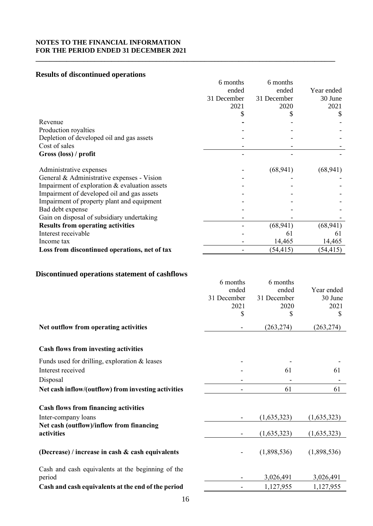# **Results of discontinued operations**

|                                               | 6 months    | 6 months    |            |
|-----------------------------------------------|-------------|-------------|------------|
|                                               | ended       | ended       | Year ended |
|                                               | 31 December | 31 December | 30 June    |
|                                               | 2021        | 2020        | 2021       |
|                                               |             |             | S          |
| Revenue                                       |             |             |            |
| Production royalties                          |             |             |            |
| Depletion of developed oil and gas assets     |             |             |            |
| Cost of sales                                 |             |             |            |
| Gross (loss) / profit                         |             |             |            |
| Administrative expenses                       |             | (68, 941)   | (68, 941)  |
| General & Administrative expenses - Vision    |             |             |            |
| Impairment of exploration & evaluation assets |             |             |            |
| Impairment of developed oil and gas assets    |             |             |            |
| Impairment of property plant and equipment    |             |             |            |
| Bad debt expense                              |             |             |            |
| Gain on disposal of subsidiary undertaking    |             |             |            |
| <b>Results from operating activities</b>      |             | (68, 941)   | (68, 941)  |
| Interest receivable                           |             | 61          | 61         |
| Income tax                                    |             | 14,465      | 14,465     |
| Loss from discontinued operations, net of tax |             | (54, 415)   | (54, 415)  |

**\_\_\_\_\_\_\_\_\_\_\_\_\_\_\_\_\_\_\_\_\_\_\_\_\_\_\_\_\_\_\_\_\_\_\_\_\_\_\_\_\_\_\_\_\_\_\_\_\_\_\_\_\_\_\_\_\_\_\_\_\_\_\_\_\_\_\_\_\_\_\_\_\_\_\_\_\_\_\_\_\_\_\_\_\_\_\_**

# **Discontinued operations statement of cashflows**

|                                                             | 6 months<br>ended<br>31 December<br>2021<br>\$ | 6 months<br>ended<br>31 December<br>2020<br>\$ | Year ended<br>30 June<br>2021<br>\$ |
|-------------------------------------------------------------|------------------------------------------------|------------------------------------------------|-------------------------------------|
| Net outflow from operating activities                       |                                                | (263, 274)                                     | (263, 274)                          |
| <b>Cash flows from investing activities</b>                 |                                                |                                                |                                     |
| Funds used for drilling, exploration $&$ leases             |                                                |                                                |                                     |
| Interest received                                           |                                                | 61                                             | 61                                  |
| Disposal                                                    |                                                |                                                |                                     |
| Net cash inflow/(outflow) from investing activities         |                                                | 61                                             | 61                                  |
| <b>Cash flows from financing activities</b>                 |                                                |                                                |                                     |
| Inter-company loans                                         |                                                | (1,635,323)                                    | (1,635,323)                         |
| Net cash (outflow)/inflow from financing<br>activities      |                                                | (1,635,323)                                    | (1,635,323)                         |
| (Decrease) / increase in cash $\&$ cash equivalents         |                                                | (1,898,536)                                    | (1,898,536)                         |
| Cash and cash equivalents at the beginning of the<br>period |                                                | 3,026,491                                      | 3,026,491                           |
| Cash and cash equivalents at the end of the period          |                                                | 1,127,955                                      | 1,127,955                           |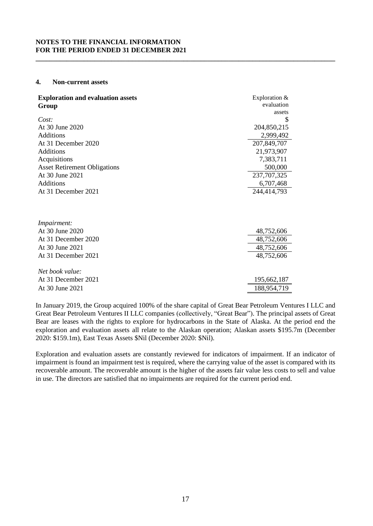#### **4. Non-current assets**

| <b>Exploration and evaluation assets</b><br>Group | Exploration &<br>evaluation<br>assets |
|---------------------------------------------------|---------------------------------------|
| Cost:                                             | \$                                    |
| At 30 June 2020                                   | 204,850,215                           |
| <b>Additions</b>                                  | 2,999,492                             |
| At 31 December 2020                               | 207,849,707                           |
| <b>Additions</b>                                  | 21,973,907                            |
| Acquisitions                                      | 7,383,711                             |
| <b>Asset Retirement Obligations</b>               | 500,000                               |
| At 30 June 2021                                   | 237, 707, 325                         |
| Additions                                         | 6,707,468                             |
| At 31 December 2021                               | 244,414,793                           |
| Impairment:                                       |                                       |
| At 30 June 2020                                   | 48,752,606                            |
| At 31 December 2020                               | 48,752,606                            |
| At 30 June 2021                                   | 48,752,606                            |
| At 31 December 2021                               | 48,752,606                            |
| Net book value:                                   |                                       |
| At 31 December 2021                               | 195,662,187                           |
| At 30 June 2021                                   | 188,954,719                           |

**\_\_\_\_\_\_\_\_\_\_\_\_\_\_\_\_\_\_\_\_\_\_\_\_\_\_\_\_\_\_\_\_\_\_\_\_\_\_\_\_\_\_\_\_\_\_\_\_\_\_\_\_\_\_\_\_\_\_\_\_\_\_\_\_\_\_\_\_\_\_\_\_\_\_\_\_\_\_\_\_\_\_\_\_\_\_\_**

In January 2019, the Group acquired 100% of the share capital of Great Bear Petroleum Ventures I LLC and Great Bear Petroleum Ventures II LLC companies (collectively, "Great Bear"). The principal assets of Great Bear are leases with the rights to explore for hydrocarbons in the State of Alaska. At the period end the exploration and evaluation assets all relate to the Alaskan operation; Alaskan assets \$195.7m (December 2020: \$159.1m), East Texas Assets \$Nil (December 2020: \$Nil).

Exploration and evaluation assets are constantly reviewed for indicators of impairment. If an indicator of impairment is found an impairment test is required, where the carrying value of the asset is compared with its recoverable amount. The recoverable amount is the higher of the assets fair value less costs to sell and value in use. The directors are satisfied that no impairments are required for the current period end.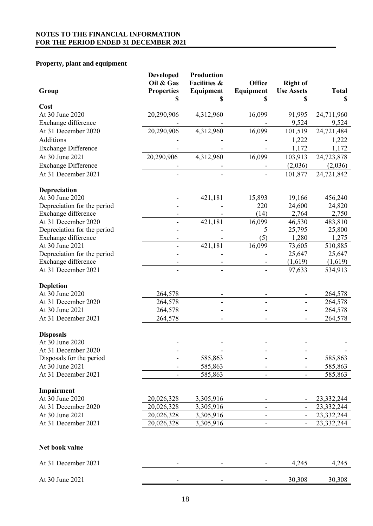# **Property, plant and equipment**

| Group                       | <b>Developed</b><br>Oil & Gas<br><b>Properties</b><br>S | Production<br><b>Facilities &amp;</b><br>Equipment | Office<br>Equipment<br>S     | <b>Right of</b><br><b>Use Assets</b> | <b>Total</b><br>\$ |
|-----------------------------|---------------------------------------------------------|----------------------------------------------------|------------------------------|--------------------------------------|--------------------|
| Cost                        |                                                         |                                                    |                              |                                      |                    |
| At 30 June 2020             | 20,290,906                                              | 4,312,960                                          | 16,099                       | 91,995                               | 24,711,960         |
| Exchange difference         |                                                         |                                                    |                              | 9,524                                | 9,524              |
| At 31 December 2020         | 20,290,906                                              | 4,312,960                                          | 16,099                       | 101,519                              | 24,721,484         |
| Additions                   |                                                         |                                                    |                              | 1,222                                | 1,222              |
| <b>Exchange Difference</b>  |                                                         |                                                    |                              | 1,172                                | 1,172              |
| At 30 June 2021             | 20,290,906                                              | 4,312,960                                          | 16,099                       | 103,913                              | 24,723,878         |
| <b>Exchange Difference</b>  |                                                         |                                                    |                              | (2,036)                              | (2,036)            |
| At 31 December 2021         |                                                         |                                                    |                              | 101,877                              | 24,721,842         |
| Depreciation                |                                                         |                                                    |                              |                                      |                    |
| At 30 June 2020             |                                                         | 421,181                                            | 15,893                       | 19,166                               | 456,240            |
| Depreciation for the period |                                                         |                                                    | 220                          | 24,600                               | 24,820             |
| Exchange difference         |                                                         |                                                    | (14)                         | 2,764                                | 2,750              |
| At 31 December 2020         |                                                         | 421,181                                            | 16,099                       | 46,530                               | 483,810            |
| Depreciation for the period |                                                         |                                                    | 5                            | 25,795                               | 25,800             |
| Exchange difference         |                                                         |                                                    | (5)                          | 1,280                                | 1,275              |
| At 30 June 2021             |                                                         | 421,181                                            | 16,099                       | 73,605                               | 510,885            |
| Depreciation for the period |                                                         |                                                    |                              | 25,647                               | 25,647             |
| Exchange difference         |                                                         |                                                    |                              | (1,619)                              | (1,619)            |
| At 31 December 2021         |                                                         |                                                    |                              | 97,633                               | 534,913            |
| <b>Depletion</b>            |                                                         |                                                    |                              |                                      |                    |
| At 30 June 2020             | 264,578                                                 |                                                    |                              |                                      | 264,578            |
| At 31 December 2020         | 264,578                                                 | $\blacksquare$                                     | $\qquad \qquad \blacksquare$ | -                                    | 264,578            |
| At 30 June 2021             | 264,578                                                 | $\overline{\phantom{a}}$                           | $\overline{\phantom{a}}$     | $\overline{\phantom{0}}$             | 264,578            |
| At 31 December 2021         | 264,578                                                 |                                                    |                              | $\blacksquare$                       | 264,578            |
| <b>Disposals</b>            |                                                         |                                                    |                              |                                      |                    |
| At 30 June 2020             |                                                         |                                                    |                              |                                      |                    |
| At 31 December 2020         |                                                         |                                                    |                              |                                      |                    |
| Disposals for the period    | $\qquad \qquad \blacksquare$                            | 585,863                                            | -                            | -                                    | 585,863            |
| At 30 June 2021             | -                                                       | 585,863                                            | $\overline{\phantom{a}}$     | $\overline{\phantom{0}}$             | 585,863            |
| At 31 December 2021         |                                                         | 585,863                                            |                              |                                      | 585,863            |
| Impairment                  |                                                         |                                                    |                              |                                      |                    |
| At 30 June 2020             | 20,026,328                                              | 3,305,916                                          |                              |                                      | 23,332,244         |
| At 31 December 2020         | 20,026,328                                              | 3,305,916                                          | $\overline{\phantom{a}}$     | $\overline{\phantom{a}}$             | 23,332,244         |
| At 30 June 2021             | 20,026,328                                              | 3,305,916                                          | $\blacksquare$               | $\overline{\phantom{a}}$             | 23,332,244         |
| At 31 December 2021         | 20,026,328                                              | 3,305,916                                          |                              | $\blacksquare$                       | 23, 332, 244       |
| Net book value              |                                                         |                                                    |                              |                                      |                    |
| At 31 December 2021         |                                                         |                                                    |                              | 4,245                                | 4,245              |
| At 30 June 2021             |                                                         |                                                    |                              | 30,308                               | 30,308             |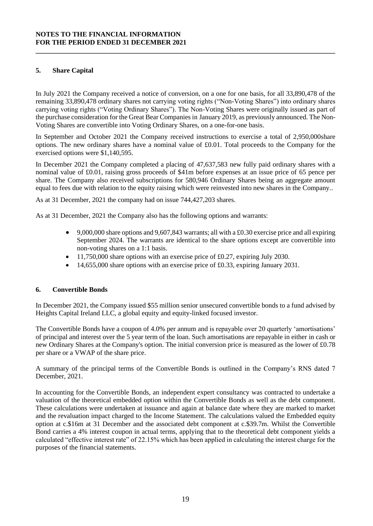# **5. Share Capital**

In July 2021 the Company received a notice of conversion, on a one for one basis, for all 33,890,478 of the remaining 33,890,478 ordinary shares not carrying voting rights ("Non-Voting Shares") into ordinary shares carrying voting rights ("Voting Ordinary Shares"). The Non-Voting Shares were originally issued as part of the purchase consideration for the Great Bear Companies in January 2019, as previously announced. The Non-Voting Shares are convertible into Voting Ordinary Shares, on a one-for-one basis.

**\_\_\_\_\_\_\_\_\_\_\_\_\_\_\_\_\_\_\_\_\_\_\_\_\_\_\_\_\_\_\_\_\_\_\_\_\_\_\_\_\_\_\_\_\_\_\_\_\_\_\_\_\_\_\_\_\_\_\_\_\_\_\_\_\_\_\_\_\_\_\_\_\_\_\_\_\_\_\_\_\_\_\_\_\_\_\_**

In September and October 2021 the Company received instructions to exercise a total of 2,950,000share options. The new ordinary shares have a nominal value of £0.01. Total proceeds to the Company for the exercised options were \$1,140,595.

In December 2021 the Company completed a placing of 47,637,583 new fully paid ordinary shares with a nominal value of £0.01, raising gross proceeds of \$41m before expenses at an issue price of 65 pence per share. The Company also received subscriptions for 580,946 Ordinary Shares being an aggregate amount equal to fees due with relation to the equity raising which were reinvested into new shares in the Company..

As at 31 December, 2021 the company had on issue 744,427,203 shares.

As at 31 December, 2021 the Company also has the following options and warrants:

- 9,000,000 share options and 9,607,843 warrants; all with a £0.30 exercise price and all expiring September 2024. The warrants are identical to the share options except are convertible into non-voting shares on a 1:1 basis.
- $\bullet$  11,750,000 share options with an exercise price of £0.27, expiring July 2030.
- 14,655,000 share options with an exercise price of £0.33, expiring January 2031.

#### **6. Convertible Bonds**

In December 2021, the Company issued \$55 million senior unsecured convertible bonds to a fund advised by Heights Capital Ireland LLC, a global equity and equity-linked focused investor.

The Convertible Bonds have a coupon of 4.0% per annum and is repayable over 20 quarterly 'amortisations' of principal and interest over the 5 year term of the loan. Such amortisations are repayable in either in cash or new Ordinary Shares at the Company's option. The initial conversion price is measured as the lower of £0.78 per share or a VWAP of the share price.

A summary of the principal terms of the Convertible Bonds is outlined in the Company's RNS dated 7 December, 2021.

In accounting for the Convertible Bonds, an independent expert consultancy was contracted to undertake a valuation of the theoretical embedded option within the Convertible Bonds as well as the debt component. These calculations were undertaken at issuance and again at balance date where they are marked to market and the revaluation impact charged to the Income Statement. The calculations valued the Embedded equity option at c.\$16m at 31 December and the associated debt component at c.\$39.7m. Whilst the Convertible Bond carries a 4% interest coupon in actual terms, applying that to the theoretical debt component yields a calculated "effective interest rate" of 22.15% which has been applied in calculating the interest charge for the purposes of the financial statements.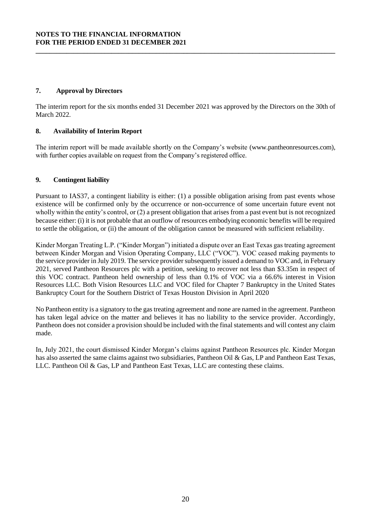# **7. Approval by Directors**

The interim report for the six months ended 31 December 2021 was approved by the Directors on the 30th of March 2022.

**\_\_\_\_\_\_\_\_\_\_\_\_\_\_\_\_\_\_\_\_\_\_\_\_\_\_\_\_\_\_\_\_\_\_\_\_\_\_\_\_\_\_\_\_\_\_\_\_\_\_\_\_\_\_\_\_\_\_\_\_\_\_\_\_\_\_\_\_\_\_\_\_\_\_\_\_\_\_\_\_\_\_\_\_\_\_\_**

# **8. Availability of Interim Report**

The interim report will be made available shortly on the Company's website (www.pantheonresources.com), with further copies available on request from the Company's registered office.

# **9. Contingent liability**

Pursuant to IAS37, a contingent liability is either: (1) a possible obligation arising from past events whose existence will be confirmed only by the occurrence or non-occurrence of some uncertain future event not wholly within the entity's control, or (2) a present obligation that arises from a past event but is not recognized because either: (i) it is not probable that an outflow of resources embodying economic benefits will be required to settle the obligation, or (ii) the amount of the obligation cannot be measured with sufficient reliability.

Kinder Morgan Treating L.P. ("Kinder Morgan") initiated a dispute over an East Texas gas treating agreement between Kinder Morgan and Vision Operating Company, LLC ("VOC"). VOC ceased making payments to the service provider in July 2019. The service provider subsequently issued a demand to VOC and, in February 2021, served Pantheon Resources plc with a petition, seeking to recover not less than \$3.35m in respect of this VOC contract. Pantheon held ownership of less than 0.1% of VOC via a 66.6% interest in Vision Resources LLC. Both Vision Resources LLC and VOC filed for Chapter 7 Bankruptcy in the United States Bankruptcy Court for the Southern District of Texas Houston Division in April 2020

No Pantheon entity is a signatory to the gas treating agreement and none are named in the agreement. Pantheon has taken legal advice on the matter and believes it has no liability to the service provider. Accordingly, Pantheon does not consider a provision should be included with the final statements and will contest any claim made.

In, July 2021, the court dismissed Kinder Morgan's claims against Pantheon Resources plc. Kinder Morgan has also asserted the same claims against two subsidiaries, Pantheon Oil & Gas, LP and Pantheon East Texas, LLC. Pantheon Oil & Gas, LP and Pantheon East Texas, LLC are contesting these claims.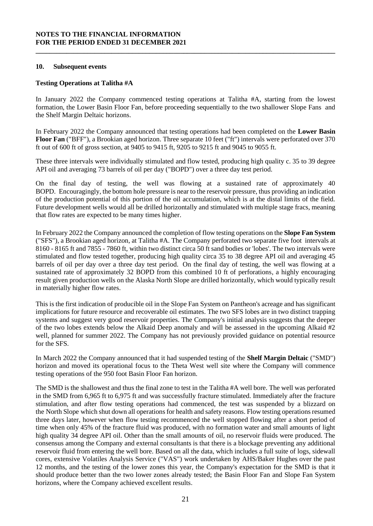#### **10. Subsequent events**

### **Testing Operations at Talitha #A**

In January 2022 the Company commenced testing operations at Talitha #A, starting from the lowest formation, the Lower Basin Floor Fan, before proceeding sequentially to the two shallower Slope Fans and the Shelf Margin Deltaic horizons.

**\_\_\_\_\_\_\_\_\_\_\_\_\_\_\_\_\_\_\_\_\_\_\_\_\_\_\_\_\_\_\_\_\_\_\_\_\_\_\_\_\_\_\_\_\_\_\_\_\_\_\_\_\_\_\_\_\_\_\_\_\_\_\_\_\_\_\_\_\_\_\_\_\_\_\_\_\_\_\_\_\_\_\_\_\_\_\_**

In February 2022 the Company announced that testing operations had been completed on the **Lower Basin Floor Fan** ("BFF"), a Brookian aged horizon. Three separate 10 feet ("ft") intervals were perforated over 370 ft out of 600 ft of gross section, at 9405 to 9415 ft, 9205 to 9215 ft and 9045 to 9055 ft.

These three intervals were individually stimulated and flow tested, producing high quality c. 35 to 39 degree API oil and averaging 73 barrels of oil per day ("BOPD") over a three day test period.

On the final day of testing, the well was flowing at a sustained rate of approximately 40 BOPD. Encouragingly, the bottom hole pressure is near to the reservoir pressure, thus providing an indication of the production potential of this portion of the oil accumulation, which is at the distal limits of the field. Future development wells would all be drilled horizontally and stimulated with multiple stage fracs, meaning that flow rates are expected to be many times higher.

In February 2022 the Company announced the completion of flow testing operations on the **Slope Fan System** ("SFS"), a Brookian aged horizon, at Talitha #A. The Company perforated two separate five foot intervals at 8160 - 8165 ft and 7855 - 7860 ft, within two distinct circa 50 ft sand bodies or 'lobes'. The two intervals were stimulated and flow tested together, producing high quality circa 35 to 38 degree API oil and averaging 45 barrels of oil per day over a three day test period. On the final day of testing, the well was flowing at a sustained rate of approximately 32 BOPD from this combined 10 ft of perforations, a highly encouraging result given production wells on the Alaska North Slope are drilled horizontally, which would typically result in materially higher flow rates.

This is the first indication of producible oil in the Slope Fan System on Pantheon's acreage and has significant implications for future resource and recoverable oil estimates. The two SFS lobes are in two distinct trapping systems and suggest very good reservoir properties. The Company's initial analysis suggests that the deeper of the two lobes extends below the Alkaid Deep anomaly and will be assessed in the upcoming Alkaid #2 well, planned for summer 2022. The Company has not previously provided guidance on potential resource for the SFS.

In March 2022 the Company announced that it had suspended testing of the **Shelf Margin Deltaic** ("SMD") horizon and moved its operational focus to the Theta West well site where the Company will commence testing operations of the 950 foot Basin Floor Fan horizon.

The SMD is the shallowest and thus the final zone to test in the Talitha #A well bore. The well was perforated in the SMD from 6,965 ft to 6,975 ft and was successfully fracture stimulated. Immediately after the fracture stimulation, and after flow testing operations had commenced, the test was suspended by a blizzard on the North Slope which shut down all operations for health and safety reasons. Flow testing operations resumed three days later, however when flow testing recommenced the well stopped flowing after a short period of time when only 45% of the fracture fluid was produced, with no formation water and small amounts of light high quality 34 degree API oil. Other than the small amounts of oil, no reservoir fluids were produced. The consensus among the Company and external consultants is that there is a blockage preventing any additional reservoir fluid from entering the well bore. Based on all the data, which includes a full suite of logs, sidewall cores, extensive Volatiles Analysis Service ("VAS") work undertaken by AHS/Baker Hughes over the past 12 months, and the testing of the lower zones this year, the Company's expectation for the SMD is that it should produce better than the two lower zones already tested; the Basin Floor Fan and Slope Fan System horizons, where the Company achieved excellent results.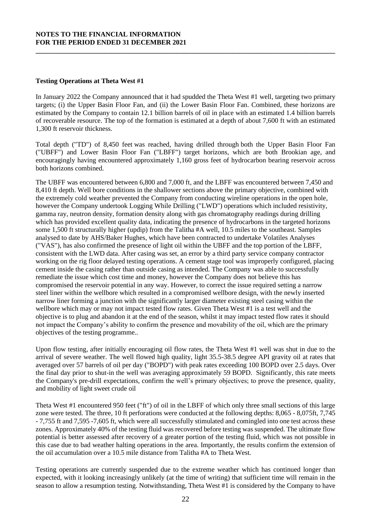#### **Testing Operations at Theta West #1**

In January 2022 the Company announced that it had spudded the Theta West #1 well, targeting two primary targets; (i) the Upper Basin Floor Fan, and (ii) the Lower Basin Floor Fan. Combined, these horizons are estimated by the Company to contain 12.1 billion barrels of oil in place with an estimated 1.4 billion barrels of recoverable resource. The top of the formation is estimated at a depth of about 7,600 ft with an estimated 1,300 ft reservoir thickness.

**\_\_\_\_\_\_\_\_\_\_\_\_\_\_\_\_\_\_\_\_\_\_\_\_\_\_\_\_\_\_\_\_\_\_\_\_\_\_\_\_\_\_\_\_\_\_\_\_\_\_\_\_\_\_\_\_\_\_\_\_\_\_\_\_\_\_\_\_\_\_\_\_\_\_\_\_\_\_\_\_\_\_\_\_\_\_\_**

Total depth ("TD") of 8,450 feet was reached, having drilled through both the Upper Basin Floor Fan ("UBFF") and Lower Basin Floor Fan ("LBFF") target horizons, which are both Brookian age, and encouragingly having encountered approximately 1,160 gross feet of hydrocarbon bearing reservoir across both horizons combined.

The UBFF was encountered between 6,800 and 7,000 ft, and the LBFF was encountered between 7,450 and 8,410 ft depth. Well bore conditions in the shallower sections above the primary objective, combined with the extremely cold weather prevented the Company from conducting wireline operations in the open hole, however the Company undertook Logging While Drilling ("LWD") operations which included resistivity, gamma ray, neutron density, formation density along with gas chromatography readings during drilling which has provided excellent quality data, indicating the presence of hydrocarbons in the targeted horizons some 1,500 ft structurally higher (updip) from the Talitha #A well, 10.5 miles to the southeast. Samples analysed to date by AHS/Baker Hughes, which have been contracted to undertake Volatiles Analyses ("VAS"), has also confirmed the presence of light oil within the UBFF and the top portion of the LBFF, consistent with the LWD data. After casing was set, an error by a third party service company contractor working on the rig floor delayed testing operations. A cement stage tool was improperly configured, placing cement inside the casing rather than outside casing as intended. The Company was able to successfully remediate the issue which cost time and money, however the Company does not believe this has compromised the reservoir potential in any way. However, to correct the issue required setting a narrow steel liner within the wellbore which resulted in a compromised wellbore design, with the newly inserted narrow liner forming a junction with the significantly larger diameter existing steel casing within the wellbore which may or may not impact tested flow rates. Given Theta West #1 is a test well and the objective is to plug and abandon it at the end of the season, whilst it may impact tested flow rates it should not impact the Company's ability to confirm the presence and movability of the oil, which are the primary objectives of the testing programme..

Upon flow testing, after initially encouraging oil flow rates, the Theta West #1 well was shut in due to the arrival of severe weather. The well flowed high quality, light 35.5-38.5 degree API gravity oil at rates that averaged over 57 barrels of oil per day ("BOPD") with peak rates exceeding 100 BOPD over 2.5 days. Over the final day prior to shut-in the well was averaging approximately 59 BOPD. Significantly, this rate meets the Company's pre-drill expectations, confirm the well's primary objectives; to prove the presence, quality, and mobility of light sweet crude oil

Theta West #1 encountered 950 feet ("ft") of oil in the LBFF of which only three small sections of this large zone were tested. The three, 10 ft perforations were conducted at the following depths: 8,065 - 8,075ft, 7,745 - 7,755 ft and 7,595 -7,605 ft, which were all successfully stimulated and comingled into one test across these zones. Approximately 40% of the testing fluid was recovered before testing was suspended. The ultimate flow potential is better assessed after recovery of a greater portion of the testing fluid, which was not possible in this case due to bad weather halting operations in the area. Importantly, the results confirm the extension of the oil accumulation over a 10.5 mile distance from Talitha #A to Theta West.

Testing operations are currently suspended due to the extreme weather which has continued longer than expected, with it looking increasingly unlikely (at the time of writing) that sufficient time will remain in the season to allow a resumption testing. Notwithstanding, Theta West #1 is considered by the Company to have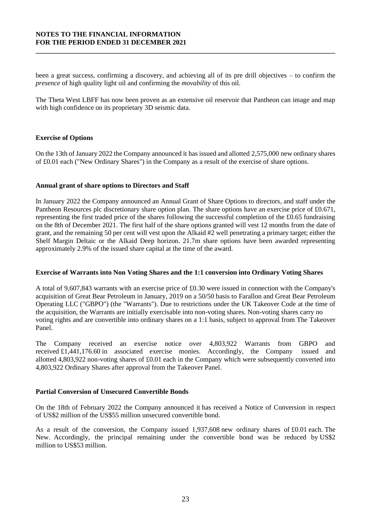been a great success, confirming a discovery, and achieving all of its pre drill objectives – to confirm the *presence* of high quality light oil and confirming the *movability* of this oil.

**\_\_\_\_\_\_\_\_\_\_\_\_\_\_\_\_\_\_\_\_\_\_\_\_\_\_\_\_\_\_\_\_\_\_\_\_\_\_\_\_\_\_\_\_\_\_\_\_\_\_\_\_\_\_\_\_\_\_\_\_\_\_\_\_\_\_\_\_\_\_\_\_\_\_\_\_\_\_\_\_\_\_\_\_\_\_\_**

The Theta West LBFF has now been proven as an extensive oil reservoir that Pantheon can image and map with high confidence on its proprietary 3D seismic data.

#### **Exercise of Options**

On the 13th of January 2022 the Company announced it has issued and allotted 2,575,000 new ordinary shares of £0.01 each ("New Ordinary Shares") in the Company as a result of the exercise of share options.

#### **Annual grant of share options to Directors and Staff**

In January 2022 the Company announced an Annual Grant of Share Options to directors, and staff under the Pantheon Resources plc discretionary share option plan. The share options have an exercise price of £0.671, representing the first traded price of the shares following the successful completion of the £0.65 fundraising on the 8th of December 2021. The first half of the share options granted will vest 12 months from the date of grant, and the remaining 50 per cent will vest upon the Alkaid #2 well penetrating a primary target; either the Shelf Margin Deltaic or the Alkaid Deep horizon. 21.7m share options have been awarded representing approximately 2.9% of the issued share capital at the time of the award.

#### **Exercise of Warrants into Non Voting Shares and the 1:1 conversion into Ordinary Voting Shares**

A total of 9,607,843 warrants with an exercise price of £0.30 were issued in connection with the Company's acquisition of Great Bear Petroleum in January, 2019 on a 50/50 basis to Farallon and Great Bear Petroleum Operating LLC ("GBPO") (the "Warrants"). Due to restrictions under the UK Takeover Code at the time of the acquisition, the Warrants are initially exercisable into non-voting shares. Non-voting shares carry no voting rights and are convertible into ordinary shares on a 1:1 basis, subject to approval from The Takeover Panel.

The Company received an exercise notice over 4,803,922 Warrants from GBPO and received £1,441,176.60 in associated exercise monies. Accordingly, the Company issued and allotted 4,803,922 non-voting shares of £0.01 each in the Company which were subsequently converted into 4,803,922 Ordinary Shares after approval from the Takeover Panel.

#### **Partial Conversion of Unsecured Convertible Bonds**

On the 18th of February 2022 the Company announced it has received a Notice of Conversion in respect of US\$2 million of the US\$55 million unsecured convertible bond.

As a result of the conversion, the Company issued  $1,937,608$  new ordinary shares of £0.01 each. The New. Accordingly, the principal remaining under the convertible bond was be reduced by US\$2 million to US\$53 million.